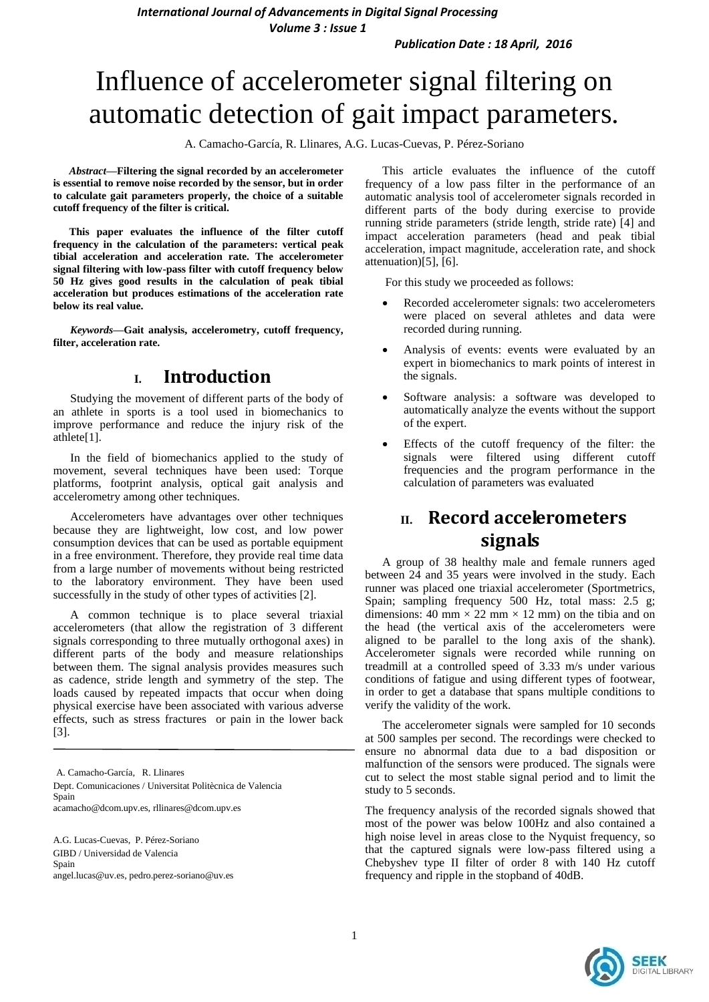*International Journal of Advancements in Digital Signal Processing*

*Volume 3 : Issue 1*

*Publication Date : 18 April, 2016*

# Influence of accelerometer signal filtering on automatic detection of gait impact parameters.

A. Camacho-García, R. Llinares, A.G. Lucas-Cuevas, P. Pérez-Soriano

*Abstract***—Filtering the signal recorded by an accelerometer is essential to remove noise recorded by the sensor, but in order to calculate gait parameters properly, the choice of a suitable cutoff frequency of the filter is critical.**

**This paper evaluates the influence of the filter cutoff frequency in the calculation of the parameters: vertical peak tibial acceleration and acceleration rate. The accelerometer signal filtering with low-pass filter with cutoff frequency below 50 Hz gives good results in the calculation of peak tibial acceleration but produces estimations of the acceleration rate below its real value.**

*Keywords—***Gait analysis, accelerometry, cutoff frequency, filter, acceleration rate.**

## **I. Introduction**

Studying the movement of different parts of the body of an athlete in sports is a tool used in biomechanics to improve performance and reduce the injury risk of the athlete[1].

In the field of biomechanics applied to the study of movement, several techniques have been used: Torque platforms, footprint analysis, optical gait analysis and accelerometry among other techniques.

Accelerometers have advantages over other techniques because they are lightweight, low cost, and low power consumption devices that can be used as portable equipment in a free environment. Therefore, they provide real time data from a large number of movements without being restricted to the laboratory environment. They have been used successfully in the study of other types of activities [2].

A common technique is to place several triaxial accelerometers (that allow the registration of 3 different signals corresponding to three mutually orthogonal axes) in different parts of the body and measure relationships between them. The signal analysis provides measures such as cadence, stride length and symmetry of the step. The loads caused by repeated impacts that occur when doing physical exercise have been associated with various adverse effects, such as stress fractures or pain in the lower back [3].

A. Camacho-García, R. Llinares Dept. Comunicaciones / Universitat Politècnica de Valencia Spain acamacho@dcom.upv.es, rllinares@dcom.upv.es

A.G. Lucas-Cuevas, P. Pérez-Soriano GIBD / Universidad de Valencia Spain angel.lucas@uv.es, pedro.perez-soriano@uv.es

This article evaluates the influence of the cutoff frequency of a low pass filter in the performance of an automatic analysis tool of accelerometer signals recorded in different parts of the body during exercise to provide running stride parameters (stride length, stride rate) [4] and impact acceleration parameters (head and peak tibial acceleration, impact magnitude, acceleration rate, and shock attenuation)[5], [6].

For this study we proceeded as follows:

- Recorded accelerometer signals: two accelerometers were placed on several athletes and data were recorded during running.
- Analysis of events: events were evaluated by an expert in biomechanics to mark points of interest in the signals.
- Software analysis: a software was developed to automatically analyze the events without the support of the expert.
- Effects of the cutoff frequency of the filter: the signals were filtered using different cutoff frequencies and the program performance in the calculation of parameters was evaluated

## **II. Record accelerometers signals**

A group of 38 healthy male and female runners aged between 24 and 35 years were involved in the study. Each runner was placed one triaxial accelerometer (Sportmetrics, Spain; sampling frequency 500 Hz, total mass: 2.5 g; dimensions: 40 mm  $\times$  22 mm  $\times$  12 mm) on the tibia and on the head (the vertical axis of the accelerometers were aligned to be parallel to the long axis of the shank). Accelerometer signals were recorded while running on treadmill at a controlled speed of 3.33 m/s under various conditions of fatigue and using different types of footwear, in order to get a database that spans multiple conditions to verify the validity of the work.

The accelerometer signals were sampled for 10 seconds at 500 samples per second. The recordings were checked to ensure no abnormal data due to a bad disposition or malfunction of the sensors were produced. The signals were cut to select the most stable signal period and to limit the study to 5 seconds.

The frequency analysis of the recorded signals showed that most of the power was below 100Hz and also contained a high noise level in areas close to the Nyquist frequency, so that the captured signals were low-pass filtered using a Chebyshev type II filter of order 8 with 140 Hz cutoff frequency and ripple in the stopband of 40dB.

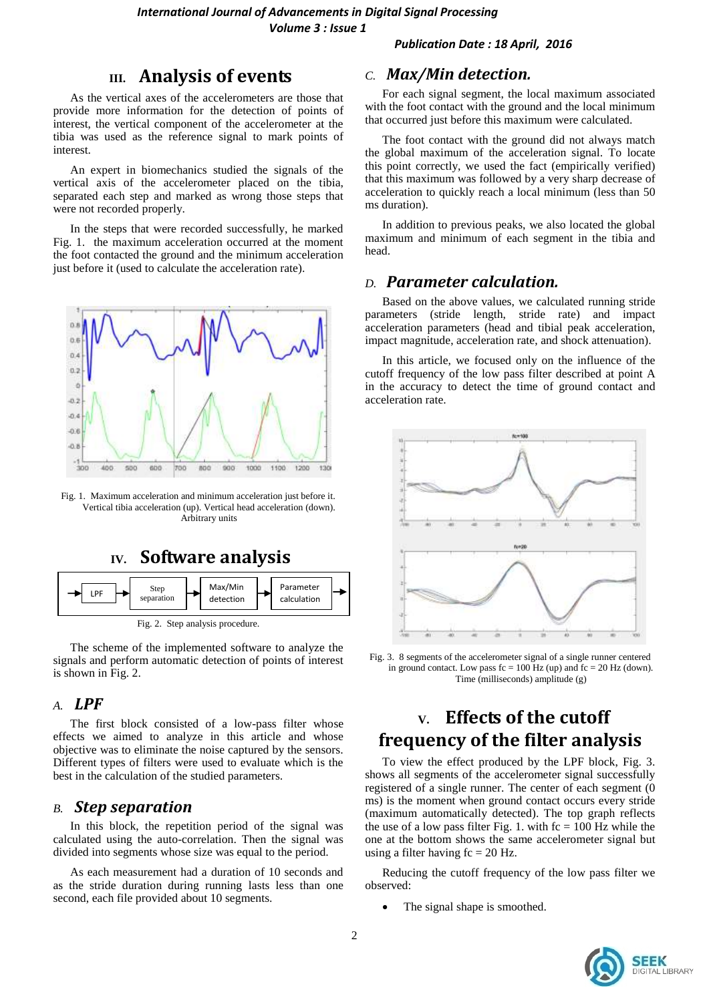### *Publication Date : 18 April, 2016*

## **III. Analysis of events**

As the vertical axes of the accelerometers are those that provide more information for the detection of points of interest, the vertical component of the accelerometer at the tibia was used as the reference signal to mark points of interest.

An expert in biomechanics studied the signals of the vertical axis of the accelerometer placed on the tibia, separated each step and marked as wrong those steps that were not recorded properly.

In the steps that were recorded successfully, he marked [Fig. 1.](#page-1-0) the maximum acceleration occurred at the moment the foot contacted the ground and the minimum acceleration just before it (used to calculate the acceleration rate).



<span id="page-1-0"></span>Fig. 1. Maximum acceleration and minimum acceleration just before it. Vertical tibia acceleration (up). Vertical head acceleration (down). Arbitrary units

## **IV. Software analysis**



<span id="page-1-1"></span>The scheme of the implemented software to analyze the

signals and perform automatic detection of points of interest is shown i[n Fig. 2.](#page-1-1) 

### *A. LPF*

The first block consisted of a low-pass filter whose effects we aimed to analyze in this article and whose objective was to eliminate the noise captured by the sensors. Different types of filters were used to evaluate which is the best in the calculation of the studied parameters.

### *B. Step separation*

In this block, the repetition period of the signal was calculated using the auto-correlation. Then the signal was divided into segments whose size was equal to the period.

As each measurement had a duration of 10 seconds and as the stride duration during running lasts less than one second, each file provided about 10 segments.

### *C. Max/Min detection.*

For each signal segment, the local maximum associated with the foot contact with the ground and the local minimum that occurred just before this maximum were calculated.

The foot contact with the ground did not always match the global maximum of the acceleration signal. To locate this point correctly, we used the fact (empirically verified) that this maximum was followed by a very sharp decrease of acceleration to quickly reach a local minimum (less than 50 ms duration).

In addition to previous peaks, we also located the global maximum and minimum of each segment in the tibia and head.

### *D. Parameter calculation.*

Based on the above values, we calculated running stride parameters (stride length, stride rate) and impact acceleration parameters (head and tibial peak acceleration, impact magnitude, acceleration rate, and shock attenuation).

In this article, we focused only on the influence of the cutoff frequency of the low pass filter described at point A in the accuracy to detect the time of ground contact and acceleration rate.



Fig. 3. 8 segments of the accelerometer signal of a single runner centered in ground contact. Low pass  $fc = 100$  Hz (up) and  $fc = 20$  Hz (down). Time (milliseconds) amplitude (g)

## **V. Effects of the cutoff frequency of the filter analysis**

To view the effect produced by the LPF block, Fig. 3. shows all segments of the accelerometer signal successfully registered of a single runner. The center of each segment (0 ms) is the moment when ground contact occurs every stride (maximum automatically detected). The top graph reflects the use of a low pass filter Fig. 1. with  $fc = 100$  Hz while the one at the bottom shows the same accelerometer signal but using a filter having  $fc = 20$  Hz.

Reducing the cutoff frequency of the low pass filter we observed:

The signal shape is smoothed.

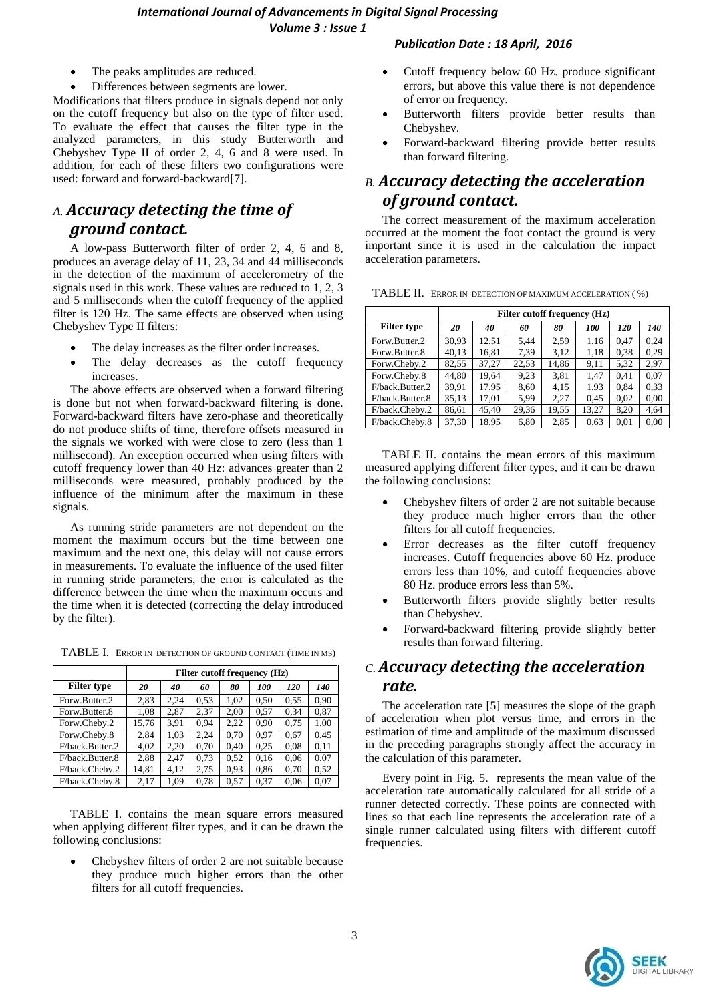### *International Journal of Advancements in Digital Signal Processing Volume 3 : Issue 1*

- The peaks amplitudes are reduced.
- Differences between segments are lower.

Modifications that filters produce in signals depend not only on the cutoff frequency but also on the type of filter used. To evaluate the effect that causes the filter type in the analyzed parameters, in this study Butterworth and Chebyshev Type II of order 2, 4, 6 and 8 were used. In addition, for each of these filters two configurations were used: forward and forward-backward[7].

## *A. Accuracy detecting the time of ground contact.*

A low-pass Butterworth filter of order 2, 4, 6 and 8, produces an average delay of 11, 23, 34 and 44 milliseconds in the detection of the maximum of accelerometry of the signals used in this work. These values are reduced to 1, 2, 3 and 5 milliseconds when the cutoff frequency of the applied filter is 120 Hz. The same effects are observed when using Chebyshev Type II filters:

- The delay increases as the filter order increases.
- The delay decreases as the cutoff frequency increases.

The above effects are observed when a forward filtering is done but not when forward-backward filtering is done. Forward-backward filters have zero-phase and theoretically do not produce shifts of time, therefore offsets measured in the signals we worked with were close to zero (less than 1 millisecond). An exception occurred when using filters with cutoff frequency lower than 40 Hz: advances greater than 2 milliseconds were measured, probably produced by the influence of the minimum after the maximum in these signals.

As running stride parameters are not dependent on the moment the maximum occurs but the time between one maximum and the next one, this delay will not cause errors in measurements. To evaluate the influence of the used filter in running stride parameters, the error is calculated as the difference between the time when the maximum occurs and the time when it is detected (correcting the delay introduced by the filter).

<span id="page-2-0"></span>TABLE I. ERROR IN DETECTION OF GROUND CONTACT (TIME IN MS)

|                    | Filter cutoff frequency (Hz) |      |      |      |      |      |            |  |  |
|--------------------|------------------------------|------|------|------|------|------|------------|--|--|
| <b>Filter type</b> | 20                           | 40   | 60   | 80   | 100  | 120  | <i>140</i> |  |  |
| Forw.Butter.2      | 2,83                         | 2.24 | 0.53 | 1.02 | 0.50 | 0.55 | 0.90       |  |  |
| Forw.Butter.8      | 1,08                         | 2.87 | 2.37 | 2,00 | 0.57 | 0.34 | 0.87       |  |  |
| Forw.Cheby.2       | 15,76                        | 3.91 | 0.94 | 2.22 | 0.90 | 0,75 | 1,00       |  |  |
| Forw.Cheby.8       | 2.84                         | 1,03 | 2.24 | 0.70 | 0.97 | 0.67 | 0.45       |  |  |
| F/back.Butter.2    | 4,02                         | 2.20 | 0.70 | 0.40 | 0.25 | 0.08 | 0.11       |  |  |
| F/back.Butter.8    | 2,88                         | 2.47 | 0.73 | 0,52 | 0.16 | 0.06 | 0.07       |  |  |
| F/back.Cheby.2     | 14,81                        | 4.12 | 2.75 | 0.93 | 0,86 | 0.70 | 0,52       |  |  |
| F/back.Cheby.8     | 2,17                         | 1.09 | 0.78 | 0.57 | 0.37 | 0.06 | 0.07       |  |  |

[TABLE I. c](#page-2-0)ontains the mean square errors measured when applying different filter types, and it can be drawn the following conclusions:

 Chebyshev filters of order 2 are not suitable because they produce much higher errors than the other filters for all cutoff frequencies.

### *Publication Date : 18 April, 2016*

- Cutoff frequency below 60 Hz. produce significant errors, but above this value there is not dependence of error on frequency.
- Butterworth filters provide better results than Chebyshev.
- Forward-backward filtering provide better results than forward filtering.

## *B. Accuracy detecting the acceleration of ground contact.*

The correct measurement of the maximum acceleration occurred at the moment the foot contact the ground is very important since it is used in the calculation the impact acceleration parameters.

|                    | Filter cutoff frequency (Hz) |       |       |       |       |            |      |  |  |
|--------------------|------------------------------|-------|-------|-------|-------|------------|------|--|--|
| <b>Filter type</b> | 20                           | 40    | 60    | 80    | 100   | <i>120</i> | 140  |  |  |
| Forw.Butter.2      | 30,93                        | 12.51 | 5.44  | 2.59  | 1.16  | 0.47       | 0.24 |  |  |
| Forw.Butter.8      | 40,13                        | 16,81 | 7,39  | 3.12  | 1,18  | 0,38       | 0.29 |  |  |
| Forw.Cheby.2       | 82,55                        | 37,27 | 22,53 | 14.86 | 9,11  | 5,32       | 2,97 |  |  |
| Forw.Cheby.8       | 44,80                        | 19,64 | 9,23  | 3,81  | 1,47  | 0.41       | 0,07 |  |  |
| F/back.Butter.2    | 39.91                        | 17.95 | 8.60  | 4.15  | 1.93  | 0.84       | 0.33 |  |  |
| F/back.Butter.8    | 35,13                        | 17,01 | 5,99  | 2,27  | 0.45  | 0.02       | 0,00 |  |  |
| F/back.Cheby.2     | 86,61                        | 45.40 | 29.36 | 19.55 | 13.27 | 8.20       | 4.64 |  |  |
| F/back.Chebv.8     | 37.30                        | 18.95 | 6,80  | 2.85  | 0.63  | 0.01       | 0.00 |  |  |

<span id="page-2-1"></span>TABLE II. ERROR IN DETECTION OF MAXIMUM ACCELERATION ( %)

[TABLE II. c](#page-2-1)ontains the mean errors of this maximum measured applying different filter types, and it can be drawn the following conclusions:

- Chebyshev filters of order 2 are not suitable because they produce much higher errors than the other filters for all cutoff frequencies.
- Error decreases as the filter cutoff frequency increases. Cutoff frequencies above 60 Hz. produce errors less than 10%, and cutoff frequencies above 80 Hz. produce errors less than 5%.
- Butterworth filters provide slightly better results than Chebyshev.
- Forward-backward filtering provide slightly better results than forward filtering.

## *C. Accuracy detecting the acceleration rate.*

The acceleration rate [5] measures the slope of the graph of acceleration when plot versus time, and errors in the estimation of time and amplitude of the maximum discussed in the preceding paragraphs strongly affect the accuracy in the calculation of this parameter.

Every point in [Fig. 5.](#page-3-0) represents the mean value of the acceleration rate automatically calculated for all stride of a runner detected correctly. These points are connected with lines so that each line represents the acceleration rate of a single runner calculated using filters with different cutoff frequencies.